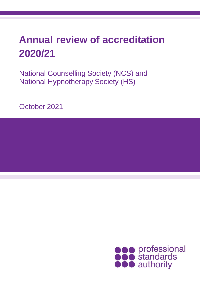# **Annual review of accreditation 2020/21**

National Counselling Society (NCS) and National Hypnotherapy Society (HS)

October 2021

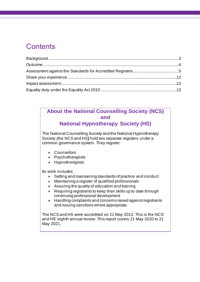## **Contents**

### **About the National Counselling Society (NCS) and**

**National Hypnotherapy Society (HS)**

The National Counselling Society and the National Hypnotherapy Society (the NCS and HS**)** hold two separate registers under a common governance system. They register:

- Counsellors
- Psychotherapists
- Hypnotherapists.

Its work includes:

- Setting and maintaining standards of practice and conduct
- Maintaining a register of qualified professionals
- Assuring the quality of education and training
- Requiring registrants to keep their skills up to date through continuing professional development
- Handling complaints and concerns raised against registrants and issuing sanctions where appropriate.

The NCS and HS were accredited on 21 May 2013. This is the NCS' and HS' eighth annual review. This report covers 21 May 2020 to 21 May 2021.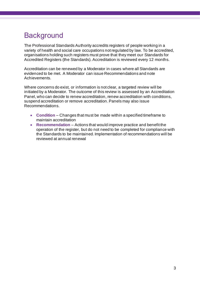# <span id="page-2-0"></span>**Background**

The Professional Standards Authority accredits registers of people working in a variety of health and social care occupations not regulated by law. To be accredited, organisations holding such registers must prove that they meet our Standards for Accredited Registers (the Standards). Accreditation is reviewed every 12 months.

Accreditation can be renewed by a Moderator in cases where all Standards are evidenced to be met. A Moderator can issue Recommendations and note Achievements.

Where concerns do exist, or information is not clear, a targeted review will be initiated by a Moderator. The outcome of this review is assessed by an Accreditation Panel, who can decide to renew accreditation, renew accreditation with conditions, suspend accreditation or remove accreditation. Panels may also issue Recommendations.

- **Condition** Changes that must be made within a specified timeframe to maintain accreditation
- **Recommendation**  Actions that would improve practice and benefit the operation of the register, but do not need to be completed for compliance with the Standards to be maintained. Implementation of recommendations will be reviewed at annual renewal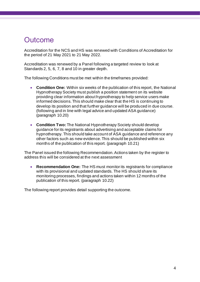### <span id="page-3-0"></span>**Outcome**

Accreditation for the NCS and HS was renewed with Conditions of Accreditation for the period of 21 May 2021 to 21 May 2022.

Accreditation was renewed by a Panel following a targeted review to look at Standards 2, 5, 6, 7, 8 and 10 in greater depth.

The following Conditions must be met within the timeframes provided:

- **Condition One:** Within six weeks of the publication of this report, the National Hypnotherapy Society must publish a position statement on its website providing clear information about hypnotherapy to help service users make informed decisions. This should make clear that the HS is continuing to develop its position and that further guidance will be produced in due course. (following and in line with legal advice and updated ASA guidance) (paragraph 10.20)
- **Condition Two:** The National Hypnotherapy Society should develop guidance for its registrants about advertising and acceptable claims for hypnotherapy. This should take account of ASA guidance and reference any other factors such as new evidence. This should be published within six months of the publication of this report. (paragraph 10.21)

The Panel issued the following Recommendation. Actions taken by the register to address this will be considered at the next assessment

• **Recommendation One:** The HS must monitor its registrants for compliance with its provisional and updated standards. The HS should share its monitoring processes, findings and actions taken within 12 months of the publication of this report. (paragraph 10.22)

The following report provides detail supporting the outcome.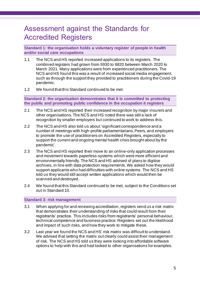## <span id="page-4-0"></span>Assessment against the Standards for Accredited Registers

**Standard 1: the organisation holds a voluntary register of people in health and/or social care occupations**

- 1.1 The NCS and HS reported increased applications to its registers. The combined registers had grown from 5930 to 6820 between March 2020 to March 2021. Many applications were from experienced practitioners. The NCS and HS found this was a result of increased social media engagement, such as through the support they provided to practitioners during the Covid-19 pandemic.
- 1.2 We found that this Standard continued to be met.

**Standard 2: the organisation demonstrates that it is committed to protecting the public and promoting public confidence in the occupation it registers**

- 2.1 The NCS and HS reported their increased recognition by major insurers and other organisations. The NCS and HS noted there was still a lack of recognition by smaller employers but continued to work to address this.
- 2.2 The NCS and HS also told us about 'significant correspondence and a number of meetings with high-profile parliamentarians, Peers, and employers to promote the use of practitioners on Accredited Registers, especially to support the current and ongoing mental health crisis brought about by the pandemic'.
- 2.3 The NCS and HS reported their move to an online-only application processes and movement towards paperless-systems which were more efficient and environmentally friendly. The NCS and HS advised of plans to digitise archives, in line with data protection requirements. We asked how they would support applicants who had difficulties with online systems. The NCS and HS told us they would still accept written applications which would then be scanned and destroyed.
- 2.4 We found that this Standard continued to be met, subject to the Conditions set out in Standard 10.

#### **Standard 3: risk management**

- 3.1 When applying for and renewing accreditation, registers send us a risk matrix that demonstrates their understanding of risks that could result from their registrants' practice. This includes risks from registrants' personal behaviour, technical competence and business practice. Registers set out the likelihood and impact of such risks, and how they work to mitigate these.
- 3.2 Last year we found the NCS and HS' risk matrix was difficult to understand. We advised that setting the matrix out clearly could assist their management of risk. The NCS and HS told us they were looking into affordable software options to help with this and had looked to other organisations for examples.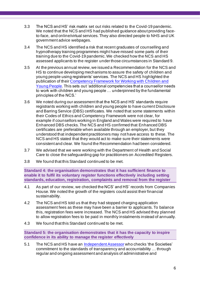- 3.3 The NCS and HS' risk matrix set out risks related to the Covid-19 pandemic. We noted that the NCS and HS had published guidance about providing faceto-face, and online/virtual services. They also directed people to NHS and UK government advice webpages.
- 3.4 The NCS and HS identified a risk that recent graduates of counselling and hypnotherapy training programmes might have missed some parts of their training due to the Covid-19 pandemic. We checked how the NCS and HS assessed applicants to the register under those circumstances in Standard 9.
- 3.5 At the previous annual review, we issued a Recommendation for the NCS and HS to continue developing mechanisms to assure the safety of children and young people using registrants' services. The NCS and HS highlighted the publication of thei[r Competency Framework for Working with Children and](https://nationalcounsellingsociety.org/about-us/counselling-children-young-people)  [Young People.](https://nationalcounsellingsociety.org/about-us/counselling-children-young-people) This sets out 'additional competencies that a counsellor needs to work with children and young people … underpinned by the fundamental principles of the NCS.'
- 3.6 We noted during our assessment that the NCS and HS' standards require registrants working with children and young people to have current Disclosure and Barring Service (DBS) certificates. We noted that some statements within their Codes of Ethics and Competency Framework were not clear, for example if counsellors working in England and Wales were required to have Enhanced DBS checks. The NCS and HS confirmed that Enhanced DBS certificates are preferable when available through an employer, but they understood that independent practitioners may not have access to these. The NCS and HS stated that they would act to make sure their statements were consistent and clear. We found the Recommendation had been considered.
- 3.7 We advised that we were working with the Department of Health and Social Care to close the safeguarding gap for practitioners on Accredited Registers.
- 3.8 We found that this Standard continued to be met.

**Standard 4: the organisation demonstrates that it has sufficient finance to enable it to fulfil its voluntary register functions effectively including setting standards, education, registration, complaints and removal from the register**

- 4.1 As part of our review, we checked the NCS' and HS' records from Companies House. We noted the growth of the registers could assist their financial sustainability.
- 4.2 The NCS and HS told us that they had stopped charging application assessment fees as these may have been a barrier to applicants. To balance this, registration fees were increased. The NCS and HS advised they planned to allow registration fees to be paid in monthly instalments instead of annually.
- 4.3 We found that this Standard continued to be met.

**Standard 5: the organisation demonstrates that it has the capacity to inspire confidence in its ability to manage the register effectively**

5.1 The NCS and HS have an [Independent Assessor](https://nationalcounsellingsociety.org/about-us/governance/independent-assessor-reports) who checks 'the Societies' commitment to the standards of transparency and accountability … through regular and ongoing assessment and analysis of administrative and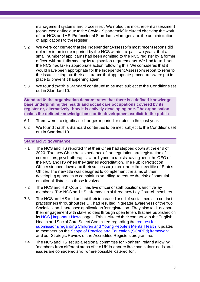management systems and processes'. We noted the most recent assessment (conducted online due to the Covid-19 pandemic) included checking the work of the NCS and HS' Professional Standards Manager, and the administration of applications to the register.

- 5.2 We were concerned that the Independent Assessor's most recent reports did not refer to an issue reported by the NCS within the past two years: that a small number of applicants had been admitted to the NCS register by a former officer, without fully meeting its registration requirements. We had found that the NCS had taken appropriate action following this. We considered that it would have been appropriate for the Independent Assessor's report to refer to the issue, setting out their assurance that appropriate procedures were put in place to prevent it happening again.
- 5.3 We found that this Standard continued to be met, subject to the Conditions set out in Standard 10.

**Standard 6: the organisation demonstrates that there is a defined knowledge base underpinning the health and social care occupations covered by its register or, alternatively, how it is actively developing one. The organisation makes the defined knowledge base or its development explicit to the public**

- 6.1 There were no significant changes reported or noted in the past year.
- 6.2 We found that this Standard continued to be met, subject to the Conditions set out in Standard 10.

#### **Standard 7: governance**

- 7.1 The NCS and HS reported that their Chair had stepped down at the end of 2020. The new Chair has experience of the regulation and registration of counsellors, psychotherapists and hypnotherapists having been the CEO of the NCS and HS when they gained accreditation. The Public Protection Officer stepped down and their successor joined under the new title of Ethics Officer. The new title was designed to complement the aims of their developing approach to complaints handling, to reduce the risk of potential emotional distress to those involved.
- 7.2 The NCS and HS' Council has five officer or staff positions and five lay members. The NCS and HS informed us of three new Lay Council members.
- 7.3 The NCS and HS told us that their increased used of social media to contact practitioners throughout the UK had resulted in greater awareness of the two Societies, and increased applications for registration. They also told us about their engagement with stakeholders through open letters that are published on its [NCS | Important News](https://nationalcounsellingsociety.org/about-us/important-news) pages. This included their contact with the English Health and Social Care Select Committee regarding the [request for](https://nationalcounsellingsociety.org/assets/uploads/docs/Green-Paper-Response.pdf)  [submissions regarding Children and Young People's Mental Health](https://nationalcounsellingsociety.org/assets/uploads/docs/Green-Paper-Response.pdf), updates to members on the [Scope of Practice and Education \(SCoPEd\) framework](https://www.bacp.co.uk/about-us/advancing-the-profession/scoped/scoped-framework/) and our Strategic Review of the Accredited Registers programme.
- 7.4 The NCS and HS set up a regional committee for Northern Ireland allowing 'members from different areas of the UK to ensure their particular needs and issues are considered and, where possible, catered for'.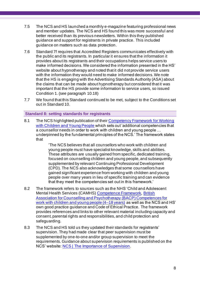- 7.5 The NCS and HS launched a monthly e-magazine featuring professional news and member updates. The NCS and HS found this was more successful and better received than its previous newsletters. Within this they published guidance and support for registrants in private practice. This included guidance on matters such as data protection.
- 7.6 Standard 7f requires that Accredited Registers communicates effectively with the public and its registrants. In particular it ensures that the information it provides about its registrants and their occupations helps service users to make informed decisions. We considered the information presented in the HS' website about hypnotherapy and noted that it did not provide service users with the information they would need to make informed decisions. We note that the HS is engaging with the Advertising Standards Authority (ASA) about the claims that can be made about hypnotherapy but considered that it was important that the HS provide some information to service users, so issued Condition 1. (see paragraph 10.18)
- 7.7 We found that this Standard continued to be met, subject to the Conditions set out in Standard 10.

#### **Standard 8: setting standards for registrants**

8.1 The NCS highlighted publication of thei[r Competency Framework for Working](https://nationalcounsellingsociety.org/about-us/counselling-children-young-people)  [with Children and Young People](https://nationalcounsellingsociety.org/about-us/counselling-children-young-people) which sets out 'additional competencies that a counsellor needs in order to work with children and young people … underpinned by the fundamental principles of the NCS.' The framework states that

> 'The NCS believes that all counsellors who work with children and young people must have specialist knowledge, skills and abilities. These attributes are usually gained from specific, dedicated training, focused on counselling children and young people, and subsequently supplemented by relevant Continuing Professional Development (CPD). The NCS also acknowledges that some counsellors have gained significant experience from working with children and young people over many years in lieu of specific training and can evidence that they meet the competencies set out in this framework.'

- 8.2 The framework refers to sources such as the NHS 'Child and Adolescent Mental Health Services (CAMHS) [Competence Framework,](https://www.ucl.ac.uk/pals/research/clinical-educational-and-health-psychology/research-groups/core/competence-frameworks-11) [British](https://www.bacp.co.uk/media/5863/bacp-cyp-competence-framework.pdf)  [Association for Counselling and Psychotherapy \(BACP\) Competences for](https://www.bacp.co.uk/media/5863/bacp-cyp-competence-framework.pdf)  [work with children and young people \(4–18 years\)](https://www.bacp.co.uk/media/5863/bacp-cyp-competence-framework.pdf) as well as the NCS and HS' own good practice guidance and Code of Ethical Practice. The framework provides references and links to other relevant material including capacity and consent, parental rights and responsibilities, and child protection and safeguarding.
- 8.3 The NCS and HS told us they updated their standards for registrants' supervision. They had made clear that peer supervision must be supplemented by one-to-one and/or group supervision to meet the requirements. Guidance about supervision requirements is published on the NCS' website: [NCS | The Importance of Supervision](https://nationalcounsellingsociety.org/blog/posts/the-importance-of-supervision#:~:text=As%20a%20guideline%20the%20NCS%20recommend%201.5%20hours,with%20may%20affect%20how%20much%20supervision%20is%20required.).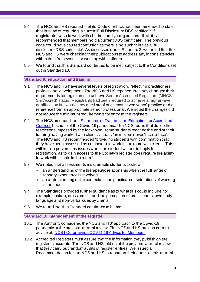- 8.4 The NCS and HS reported that its Code of Ethics had been amended to state that instead of requiring 'a current Full Disclosure DBS certificate if (registrants) wish to work with children and young persons' that 'it is recommended that members hold a current DBS certificate'. The previous code could have caused confusion as there is no such thing as a 'full disclosure DBS certificate'. As discussed under Standard 3, we noted that the NCS and HS were checking their publications to address any inconsistencies within their frameworks for working with children.
- 8.5 We found that this Standard continued to be met, subject to the Conditions set out in Standard 10.

#### **Standard 9: education and training**

- 9.1 The NCS and HS have several levels of registration, reflecting practitioners' professional development. The NCS and HS reported that they changed their requirements for registrants to achieve Senior Accredited Registrant (MNCS Snr Accred) status. Registrants had been required to achieve a higher-level qualification but would now need proof of at least seven years' practice and a reference from an appropriate senior professional. We noted the changes did not reduce the minimum requirements for entry to the registers.
- 9.2 The NCS amended their [Standards of Training and Education for Accredited](https://nationalcounsellingsociety.org/assets/uploads/docs/National-Counselling-Society-Training-standards-2020e-with-addendum.pdf)  [Courses](https://nationalcounsellingsociety.org/assets/uploads/docs/National-Counselling-Society-Training-standards-2020e-with-addendum.pdf) because of the Covid-19 pandemic. The NCS found that due to the restrictions imposed by the lockdown, some students reached the end of their training having worked with clients virtually/online, but never 'face to face'. The NCS and HS recommended 'providing students with confirmation that they have been assessed as competent to work in the room with clients. This will help to prevent any issues when the student wishes to apply for registration, as to gain access to the Society's register does require the ability to work with clients in the room.'
- 9.3 We noted that assessments must enable students to show:
	- an understanding of the therapeutic relationship when the full range of sensory experience is involved
	- an understanding of the contextual and practical considerations of working in the room
- 9.4 The Standards provided further guidance as to what this could include, for example posture, dress, smell, and the perception of practitioners' own body language and non-verbal cues by clients.
- 9.5 We found that this Standard continued to be met.

#### **Standard 10: management of the register**

- 10.1 The Authority considered the NCS and HS' approach to the Covid-19 pandemic at the previous annual review. The NCS and HS publish current advice at: [NCS | Coronavirus COVID-19 Advice for Members.](https://nationalcounsellingsociety.org/help/covid-19-hub/coronavirus-covid-19-advice-for-members)
- 10.2 Accredited Registers must assure that the information they publish on the register is accurate. The NCS and HS told us at the previous annual review that they carry out random audits of register entries. We issued a Recommendation for the NCS and HS to report on their audits at this annual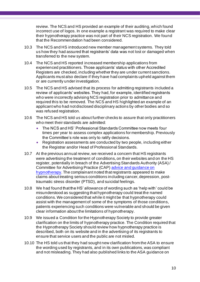review. The NCS and HS provided an example of their auditing, which found incorrect use of logos. In one example a registrant was required to make clear their hypnotherapy practice was not part of their NCS registration. We found that the Recommendation had been considered.

- 10.3 The NCS and HS introduced new member management systems. They told us how they had assured that registrants' data was not lost or damaged when transferred to the new system.
- 10.4 The NCS and HS reported increased membership applications from experienced practitioners. Those applicants' status with other Accredited Registers are checked, including whether they are under current sanctions. Applicants must also declare if they have had complaints upheld against them or are currently under investigation.
- 10.5 The NCS and HS advised that its process for admitting registrants included a review of applicants' websites. They had, for example, identified registrants who were incorrectly advising NCS registration prior to admittance and required this to be removed. The NCS and HS highlighted an example of an applicant who had not disclosed disciplinary actions by other bodies and so was refused registration.
- 10.6 The NCS and HS told us about further checks to assure that only practitioners who meet their standards are admitted:
	- The NCS and HS' Professional Standards Committee now meets four times per year to assess complex applications for membership. Previously the Committee's role was only to ratify decisions.
	- Registration assessments are conducted by two people, including either the Registrar and/or Head of Professional Standards.
- 10.7 At the previous annual review, we received a concern that HS registrants were advertising the treatment of conditions, on their websites and on the HS register, potentially in breach of the Advertising Standards Authority (ASA) / Committee for Advertising Practice (CAP) [advice and guidance on](https://www.asa.org.uk/advice-online/health-hypnotherapy.html)  [hypnotherapy](https://www.asa.org.uk/advice-online/health-hypnotherapy.html). The complainant noted that registrants appeared to make claims about treating serious conditions including cancer, depression, posttraumatic stress disorder (PTSD), and suicidal feelings.
- 10.8 We had found that the HS' allowance of wording such as 'help with' could be misunderstood as suggesting that hypnotherapy could treat the named conditions. We considered that while it might be that hypnotherapy could assist with the management of some of the symptoms of those conditions, patients experiencing such conditions were vulnerable and should be given clear information about the limitations of hypnotherapy.
- 10.9 We issued a Condition for the Hypnotherapy Society to provide greater clarification on the limits of hypnotherapy practice. The Condition required that the Hypnotherapy Society should review how hypnotherapy practice is described, both on its website and in the advertising of its registrants to ensure that service users and the public are not misled.
- 10.10 The HS told us that they had sought new clarification from the ASA to ensure the wording used by registrants, and in its own publications, was compliant and not misleading. They had also published links to the ASA guidance on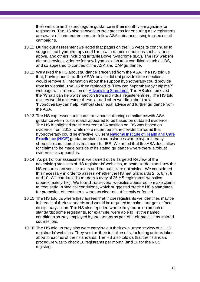their website and issued regular guidance in their monthly e-magazine for registrants. The HS also showed us their process for ensuring new registrants are aware of their requirements to follow ASA guidance, using tracked emailcampaigns.

- 10.11 During our assessment we noted that pages on the HS website continued to suggest that hypnotherapy could help with named conditions such as those above, and others including Irritable Bowel Syndrome (IBS). The HS' website did not provide evidence for how hypnosis can treat conditions such as IBS, and so appeared to contradict the ASA and CAP guidance.
- 10.12 We asked the HS about guidance it received from the ASA. The HS told us that, having found that the ASA's advice did not provide clear direction, it would remove all information about the support hypnotherapy could provide from its website. The HS then replaced its 'How can hypnotherapy help me?' webpage with information o[n Advertising Standards.](https://nationalhypnotherapysociety.org/find-a-therapist/advertising-standards) The HS also removed the 'What I can help with' section from individual register entries. The HS told us they would not restore these, or add other wording about how 'hypnotherapy can help', without clear legal advice and further guidance from the ASA.
- 10.13 The HS expressed their concerns about enforcing compliance with ASA guidance when its standards appeared to be based on outdated evidence. The HS highlighted that the current ASA position on IBS was based on evidence from 2013, while more recent published evidence found that hypnotherapy could be effective. Curren[t National Institute of Health and Care](https://www.nice.org.uk/guidance/cg61/chapter/1-Recommendations#psychological-interventions)  [Excellence \(NICE\)](https://www.nice.org.uk/guidance/cg61/chapter/1-Recommendations#psychological-interventions) guidance stated circumstances where hypnotherapy should be considered as treatment for IBS. We noted that the ASA does allow for claims to be made outside of its stated guidance where there is robust evidence to support this.
- 10.14 As part of our assessment, we carried out a Targeted Review of the advertising practises of HS registrants' websites, to better understand how the HS ensures that service users and the public are not misled. We considered this necessary in order to assess whether the HS met Standards 2, 5, 6, 7, 8 and 10. We conducted a random survey of 26 HS registrants' websites (approximately 1%). We found that several websites appeared to make claims to treat serious medical conditions, which suggested that the HS's standards for promotion of treatments were not clear or sufficiently enforced.
- 10.15 The HS told us where they agreed that those registrants we identified may be in breach of their standards and would be required to make changes or face disciplinary action. The HS also reported where they found no breach of standards: some registrants, for example, were able to list the named conditions as they employed hypnotherapy as part of their practice as trained counsellors.
- 10.16 The HS told us they also were carrying out their own urgent review of all HS registrants' websites. They sent us their initial results, including actions taken about breaches of their standards. The HS also told us that their standard procedure was to check 10 registrants per month (and 10 for the NCS register).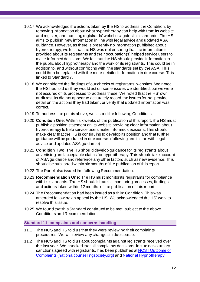- 10.17 We acknowledged the actions taken by the HS to address the Condition, by removing information about what hypnotherapy can help with from its website and register, and auditing registrants' websites against its standards. The HS aims to publish new information in line with legal advice and updated ASA guidance. However, as there is presently no information published about hypnotherapy, we felt that the HS was not ensuring that the information it provided about its registrants and their occupation(s) helped service users to make informed decisions. We felt that the HS should provide information to the public about hypnotherapy and the work of its registrants. This could be in addition to, and without conflicting with, the standards set by the ASA. This could then be replaced with the more detailed information in due course. This linked to Standard 7.
- 10.18 We considered the findings of our checks of registrants' websites. We noted the HS had told us they would act on some issues we identified, but we were not assured of its processes to address these. We noted that the HS' own audit results did not appear to accurately record the issues found, provide detail on the actions they had taken, or verify that updated information was correct.
- 10.19 To address the points above, we issued the following Conditions:
- 10.20 **Condition One**: Within six weeks of the publication of this report, the HS must publish a position statement on its website providing clear information about hypnotherapy to help service users make informed decisions. This should make clear that the HS is continuing to develop its position and that further guidance will be produced in due course. (following and in line with legal advice and updated ASA guidance)
- 10.21 **Condition Two**: The HS should develop guidance for its registrants about advertising and acceptable claims for hypnotherapy. This should take account of ASA guidance and reference any other factors such as new evidence. This should be published within six months of the publication of this report.
- 10.22 The Panel also issued the following Recommendation:
- 10.23 **Recommendation One**: The HS must monitor its registrants for compliance with its standards. The HS should share its monitoring processes, findings and actions taken within 12 months of the publication of this report
- 10.24 The Recommendation had been issued as a third Condition. This was amended following an appeal by the HS. We acknowledged the HS' work to resolve this issue.
- 10.25 We found that this Standard continued to be met, subject to the above Conditions and Recommendation.

#### **Standard 11: complaints and concerns handling**

- <span id="page-11-0"></span>11.1 The NCS and HS told us that they were reviewing their complaints procedures. We will review any changes in due course.
- 11.2 The NCS and HS told us about complaints against registrants received over the last year. We checked that all complaints decisions, including voluntary sanctions agreed with registrants, had been published a[t NCS | Outcome of](https://nationalcounsellingsociety.org/have-a-concern/outcome-of-complaints)  [Complaints \(nationalcounsellingsociety.org\)](https://nationalcounsellingsociety.org/have-a-concern/outcome-of-complaints) an[d National Hypnotherapy](https://nationalhypnotherapysociety.org/have-a-concern/outcome-of-complaints)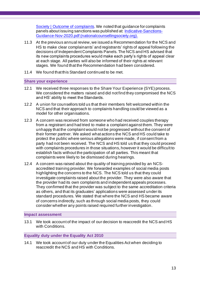[Society | Outcome of complaints.](https://nationalhypnotherapysociety.org/have-a-concern/outcome-of-complaints) We noted that guidance for complaints panels about issuing sanctions was published at: [Indicative-Sanctions-](https://nationalcounsellingsociety.org/assets/uploads/docs/Indicative-Sanctions-Guidance-Nov-2020.pdf)[Guidance-Nov-2020.pdf \(nationalcounsellingsociety.org\).](https://nationalcounsellingsociety.org/assets/uploads/docs/Indicative-Sanctions-Guidance-Nov-2020.pdf)

- 11.3 At the previous annual review, we issued a Recommendation for the NCS and HS to make clear complainants' and registrants' rights of appeal following the decisions of Independent Complaints Panels. The NCS and HS advised that its new complaints procedures would make each party's rights of appeal clear at each stage. All parties will also be informed of their rights at relevant stages. We found that the Recommendation had been considered.
- 11.4 We found that this Standard continued to be met.

#### **Share your experience**

- 12.1 We received three responses to the Share Your Experience (SYE) process. We considered the matters raised and did not find they compromised the NCS and HS' ability to meet the Standards.
- 12.2 A union for counsellors told us that their members felt welcomed within the NCS and that their approach to complaints handling could be viewed as a model for other organisations.
- 12.3 A concern was received from someone who had received couples therapy from a registrant and had tried to make a complaint against them. They were unhappy that the complaint would not be progressed without the consent of their former partner. We asked what actions the NCS and HS could take to protect the public where serious allegations were made, if consent from a party had not been received. The NCS and HS told us that they could proceed with complaints procedures in those situations, however it would be difficult to establish facts without the participation of all parties. This meant that complaints were likely to be dismissed during hearings.
- 12.4 A concern was raised about the quality of training provided by an NCSaccredited training provider. We forwarded examples of social media posts highlighting the concerns to the NCS. The NCS told us that they could investigate complaints raised about the provider. They were also aware that the provider had its own complaints and independent appeals processes. They confirmed that the provider was subject to the same accreditation criteria as others, and that its graduates' applications were assessed under its standard procedures. We stated that where the NCS and HS became aware of concerns indirectly, such as through social media posts, they could consider whether any points raised required further investigation.

#### <span id="page-12-0"></span>**Impact assessment**

<span id="page-12-1"></span>13.1 We took account of the impact of our decision to reaccredit the NCS and HS with Conditions.

#### **Equality duty under the Equality Act 2010**

14.1 We took account of our duty under the Equalities Act when deciding to reaccredit the NCS and HS with Conditions.